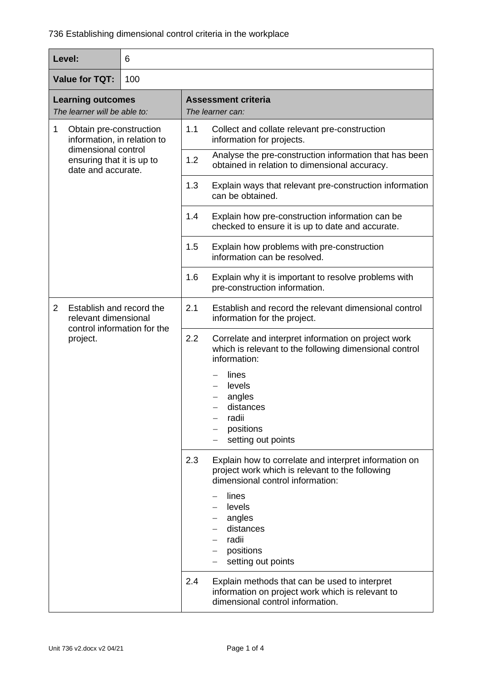| Level:                                                                                                                                |                                                  | 6                                              |                                                                                                         |                                                                                                                                              |  |  |
|---------------------------------------------------------------------------------------------------------------------------------------|--------------------------------------------------|------------------------------------------------|---------------------------------------------------------------------------------------------------------|----------------------------------------------------------------------------------------------------------------------------------------------|--|--|
| 100<br><b>Value for TQT:</b>                                                                                                          |                                                  |                                                |                                                                                                         |                                                                                                                                              |  |  |
| <b>Learning outcomes</b><br>The learner will be able to:                                                                              |                                                  | <b>Assessment criteria</b><br>The learner can: |                                                                                                         |                                                                                                                                              |  |  |
| 1<br>Obtain pre-construction<br>information, in relation to<br>dimensional control<br>ensuring that it is up to<br>date and accurate. |                                                  |                                                | 1.1                                                                                                     | Collect and collate relevant pre-construction<br>information for projects.                                                                   |  |  |
|                                                                                                                                       |                                                  | 1.2                                            | Analyse the pre-construction information that has been<br>obtained in relation to dimensional accuracy. |                                                                                                                                              |  |  |
|                                                                                                                                       |                                                  |                                                | 1.3                                                                                                     | Explain ways that relevant pre-construction information<br>can be obtained.                                                                  |  |  |
|                                                                                                                                       |                                                  | 1.4                                            | Explain how pre-construction information can be<br>checked to ensure it is up to date and accurate.     |                                                                                                                                              |  |  |
|                                                                                                                                       |                                                  |                                                | 1.5                                                                                                     | Explain how problems with pre-construction<br>information can be resolved.                                                                   |  |  |
|                                                                                                                                       |                                                  |                                                | 1.6                                                                                                     | Explain why it is important to resolve problems with<br>pre-construction information.                                                        |  |  |
| $\overline{2}$                                                                                                                        | Establish and record the<br>relevant dimensional | control information for the                    | 2.1                                                                                                     | Establish and record the relevant dimensional control<br>information for the project.                                                        |  |  |
| project.                                                                                                                              |                                                  |                                                | 2.2                                                                                                     | Correlate and interpret information on project work<br>which is relevant to the following dimensional control<br>information:                |  |  |
|                                                                                                                                       |                                                  |                                                |                                                                                                         | lines<br>levels                                                                                                                              |  |  |
|                                                                                                                                       |                                                  |                                                |                                                                                                         | angles<br>distances                                                                                                                          |  |  |
|                                                                                                                                       |                                                  |                                                |                                                                                                         | radii<br>positions                                                                                                                           |  |  |
|                                                                                                                                       |                                                  |                                                |                                                                                                         | setting out points                                                                                                                           |  |  |
|                                                                                                                                       |                                                  |                                                | 2.3                                                                                                     | Explain how to correlate and interpret information on<br>project work which is relevant to the following<br>dimensional control information: |  |  |
|                                                                                                                                       |                                                  |                                                |                                                                                                         | lines<br>levels                                                                                                                              |  |  |
|                                                                                                                                       |                                                  |                                                |                                                                                                         | angles<br>distances                                                                                                                          |  |  |
|                                                                                                                                       |                                                  |                                                |                                                                                                         | radii                                                                                                                                        |  |  |
|                                                                                                                                       |                                                  |                                                |                                                                                                         | positions<br>—<br>setting out points                                                                                                         |  |  |
|                                                                                                                                       |                                                  |                                                | 2.4                                                                                                     | Explain methods that can be used to interpret<br>information on project work which is relevant to<br>dimensional control information.        |  |  |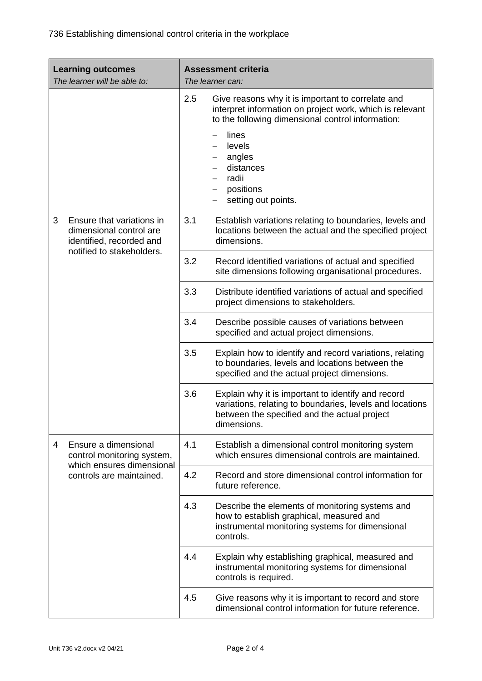| <b>Learning outcomes</b><br>The learner will be able to: |                                                                                                               | <b>Assessment criteria</b><br>The learner can: |                                                                                                                                                                               |
|----------------------------------------------------------|---------------------------------------------------------------------------------------------------------------|------------------------------------------------|-------------------------------------------------------------------------------------------------------------------------------------------------------------------------------|
|                                                          |                                                                                                               | 2.5                                            | Give reasons why it is important to correlate and<br>interpret information on project work, which is relevant<br>to the following dimensional control information:            |
|                                                          |                                                                                                               |                                                | lines<br>levels<br>angles<br>distances<br>radii<br>positions<br>setting out points.<br>$\qquad \qquad -$                                                                      |
| 3                                                        | Ensure that variations in<br>dimensional control are<br>identified, recorded and<br>notified to stakeholders. | 3.1                                            | Establish variations relating to boundaries, levels and<br>locations between the actual and the specified project<br>dimensions.                                              |
|                                                          |                                                                                                               | 3.2                                            | Record identified variations of actual and specified<br>site dimensions following organisational procedures.                                                                  |
|                                                          |                                                                                                               | 3.3                                            | Distribute identified variations of actual and specified<br>project dimensions to stakeholders.                                                                               |
|                                                          |                                                                                                               | 3.4                                            | Describe possible causes of variations between<br>specified and actual project dimensions.                                                                                    |
|                                                          |                                                                                                               | 3.5                                            | Explain how to identify and record variations, relating<br>to boundaries, levels and locations between the<br>specified and the actual project dimensions.                    |
|                                                          |                                                                                                               | 3.6                                            | Explain why it is important to identify and record<br>variations, relating to boundaries, levels and locations<br>between the specified and the actual project<br>dimensions. |
| 4                                                        | Ensure a dimensional<br>control monitoring system,<br>which ensures dimensional                               | 4.1                                            | Establish a dimensional control monitoring system<br>which ensures dimensional controls are maintained.                                                                       |
|                                                          | controls are maintained.                                                                                      | 4.2                                            | Record and store dimensional control information for<br>future reference.                                                                                                     |
|                                                          |                                                                                                               | 4.3                                            | Describe the elements of monitoring systems and<br>how to establish graphical, measured and<br>instrumental monitoring systems for dimensional<br>controls.                   |
|                                                          |                                                                                                               | 4.4                                            | Explain why establishing graphical, measured and<br>instrumental monitoring systems for dimensional<br>controls is required.                                                  |
|                                                          |                                                                                                               |                                                | Give reasons why it is important to record and store<br>dimensional control information for future reference.                                                                 |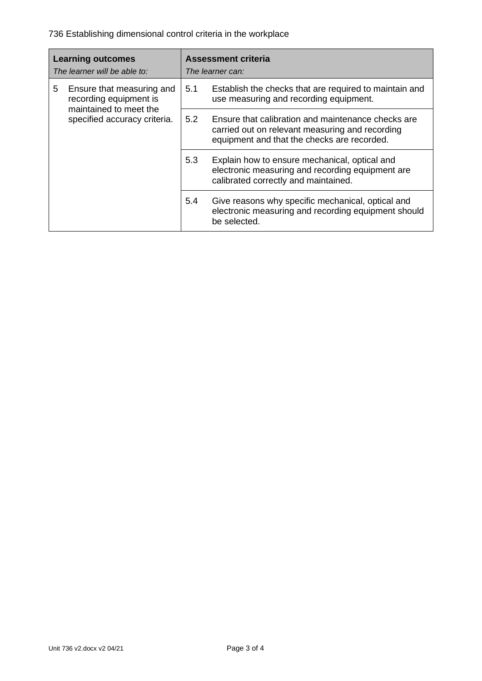736 Establishing dimensional control criteria in the workplace

|   | <b>Learning outcomes</b><br>The learner will be able to:                      | <b>Assessment criteria</b><br>The learner can: |                                                                                                                                                      |
|---|-------------------------------------------------------------------------------|------------------------------------------------|------------------------------------------------------------------------------------------------------------------------------------------------------|
| 5 | Ensure that measuring and<br>recording equipment is<br>maintained to meet the | 5.1                                            | Establish the checks that are required to maintain and<br>use measuring and recording equipment.                                                     |
|   | specified accuracy criteria.                                                  | 5.2                                            | Ensure that calibration and maintenance checks are<br>carried out on relevant measuring and recording<br>equipment and that the checks are recorded. |
|   |                                                                               | 5.3                                            | Explain how to ensure mechanical, optical and<br>electronic measuring and recording equipment are<br>calibrated correctly and maintained.            |
|   |                                                                               | 5.4                                            | Give reasons why specific mechanical, optical and<br>electronic measuring and recording equipment should<br>be selected.                             |